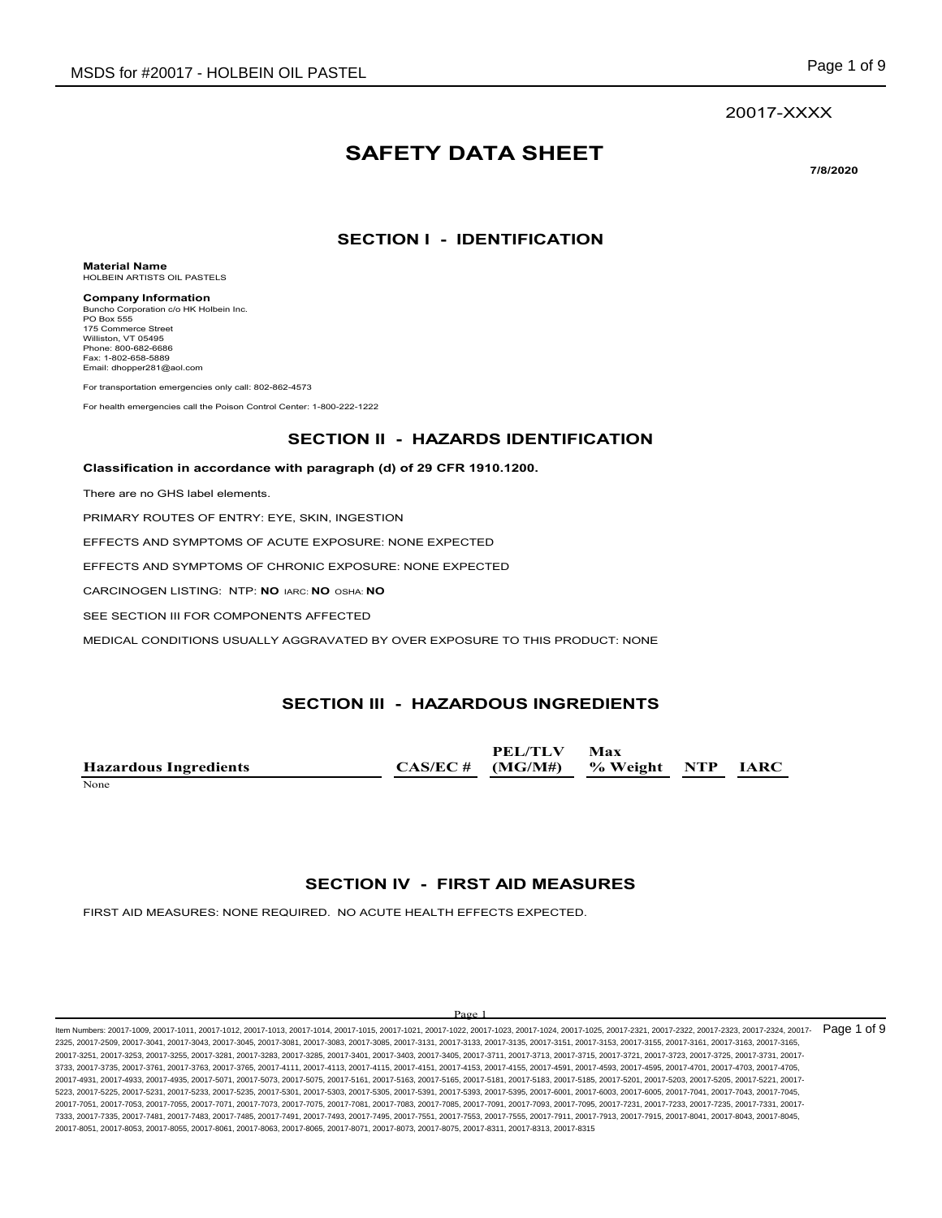#### 20017-XXXX

# **SAFETY DATA SHEET**

**7/8/2020**

### **SECTION I - IDENTIFICATION**

**Material Name** HOLBEIN ARTISTS OIL PASTELS

**Company Information** Buncho Corporation c/o HK Holbein Inc. PO Box 555 175 Commerce Street Williston, VT 05495 Phone: 800-682-6686 Fax: 1-802-658-5889 Email: dhopper281@aol.com

For transportation emergencies only call: 802-862-4573

For health emergencies call the Poison Control Center: 1-800-222-1222

#### **SECTION II - HAZARDS IDENTIFICATION**

**Classification in accordance with paragraph (d) of 29 CFR 1910.1200.**

There are no GHS label elements.

PRIMARY ROUTES OF ENTRY: EYE, SKIN, INGESTION

EFFECTS AND SYMPTOMS OF ACUTE EXPOSURE: NONE EXPECTED

EFFECTS AND SYMPTOMS OF CHRONIC EXPOSURE: NONE EXPECTED

CARCINOGEN LISTING: NTP: **NO** IARC: **NO** OSHA: **NO**

SEE SECTION III FOR COMPONENTS AFFECTED

MEDICAL CONDITIONS USUALLY AGGRAVATED BY OVER EXPOSURE TO THIS PRODUCT: NONE

#### **SECTION III - HAZARDOUS INGREDIENTS**

**Hazardous Ingredients CAS/EC #** None experience and the set of the set of the set of the set of the set of the set of the set of the set of the set of the set of the set of the set of the set of the set of the set of the set of the set of the set of the

**(MG/M#)**

**PEL/TLV** 

**Max** 

**% Weight NTP IARC**

#### **SECTION IV - FIRST AID MEASURES**

FIRST AID MEASURES: NONE REQUIRED. NO ACUTE HEALTH EFFECTS EXPECTED.

#### Page 1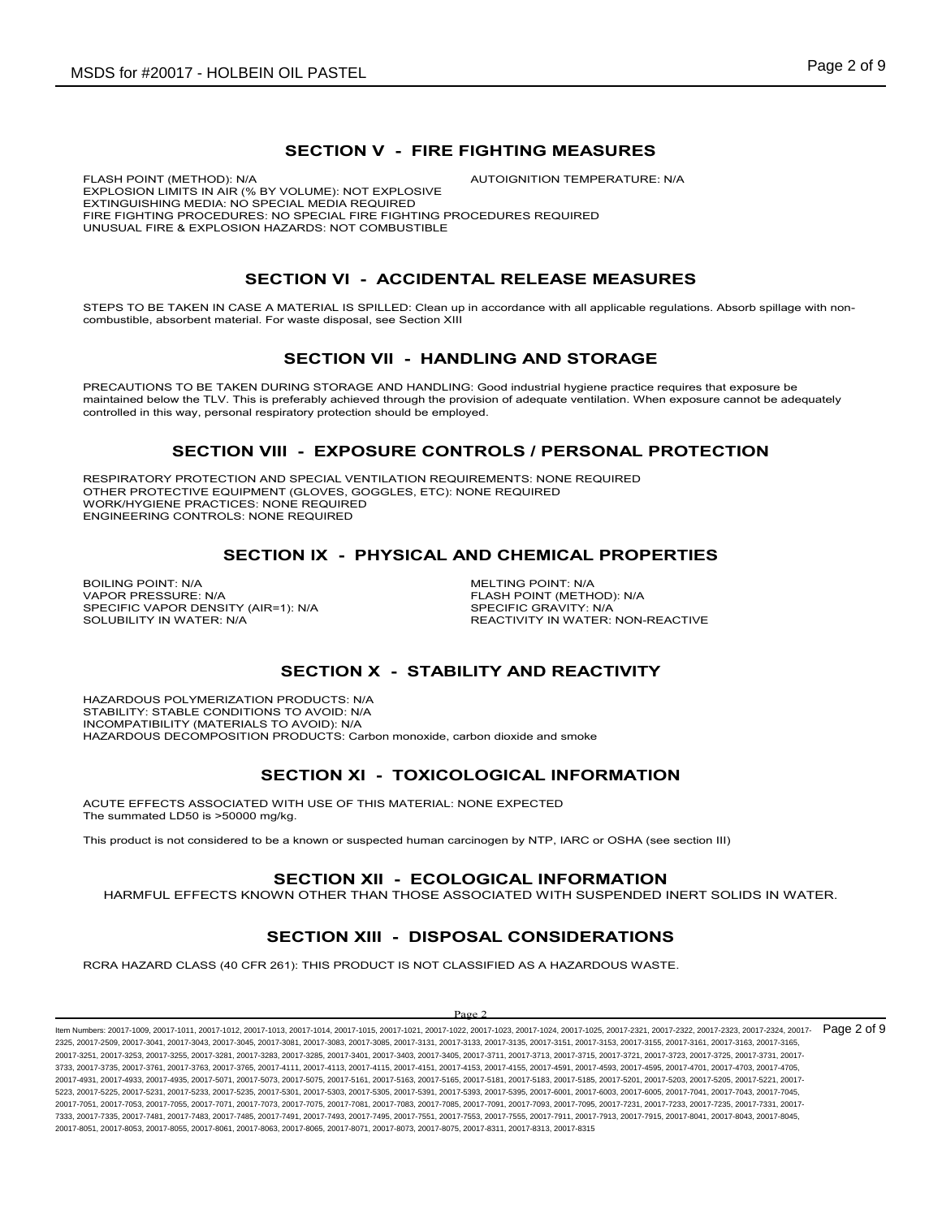#### **SECTION V - FIRE FIGHTING MEASURES**

FLASH POINT (METHOD): N/A **AUTOIGNITION TEMPERATURE: N/A** EXPLOSION LIMITS IN AIR (% BY VOLUME): NOT EXPLOSIVE EXTINGUISHING MEDIA: NO SPECIAL MEDIA REQUIRED FIRE FIGHTING PROCEDURES: NO SPECIAL FIRE FIGHTING PROCEDURES REQUIRED UNUSUAL FIRE & EXPLOSION HAZARDS: NOT COMBUSTIBLE

## **SECTION VI - ACCIDENTAL RELEASE MEASURES**

STEPS TO BE TAKEN IN CASE A MATERIAL IS SPILLED: Clean up in accordance with all applicable regulations. Absorb spillage with noncombustible, absorbent material. For waste disposal, see Section XIII

### **SECTION VII - HANDLING AND STORAGE**

PRECAUTIONS TO BE TAKEN DURING STORAGE AND HANDLING: Good industrial hygiene practice requires that exposure be maintained below the TLV. This is preferably achieved through the provision of adequate ventilation. When exposure cannot be adequately controlled in this way, personal respiratory protection should be employed.

### **SECTION VIII - EXPOSURE CONTROLS / PERSONAL PROTECTION**

RESPIRATORY PROTECTION AND SPECIAL VENTILATION REQUIREMENTS: NONE REQUIRED OTHER PROTECTIVE EQUIPMENT (GLOVES, GOGGLES, ETC): NONE REQUIRED WORK/HYGIENE PRACTICES: NONE REQUIRED ENGINEERING CONTROLS: NONE REQUIRED

#### **SECTION IX - PHYSICAL AND CHEMICAL PROPERTIES**

BOILING POINT: N/A<br>
VAPOR PRESSURE: N/A<br>
VAPOR PRESSURE: N/A SPECIFIC VAPOR DENSITY (AIR=1): N/A<br>SOLUBILITY IN WATER: N/A

FLASH POINT (METHOD): N/A<br>SPECIFIC GRAVITY: N/A REACTIVITY IN WATER: NON-REACTIVE

## **SECTION X - STABILITY AND REACTIVITY**

HAZARDOUS POLYMERIZATION PRODUCTS: N/A STABILITY: STABLE CONDITIONS TO AVOID: N/A INCOMPATIBILITY (MATERIALS TO AVOID): N/A HAZARDOUS DECOMPOSITION PRODUCTS: Carbon monoxide, carbon dioxide and smoke

### **SECTION XI - TOXICOLOGICAL INFORMATION**

ACUTE EFFECTS ASSOCIATED WITH USE OF THIS MATERIAL: NONE EXPECTED The summated LD50 is >50000 mg/kg.

This product is not considered to be a known or suspected human carcinogen by NTP, IARC or OSHA (see section III)

#### **SECTION XII - ECOLOGICAL INFORMATION**

HARMFUL EFFECTS KNOWN OTHER THAN THOSE ASSOCIATED WITH SUSPENDED INERT SOLIDS IN WATER.

## **SECTION XIII - DISPOSAL CONSIDERATIONS**

RCRA HAZARD CLASS (40 CFR 261): THIS PRODUCT IS NOT CLASSIFIED AS A HAZARDOUS WASTE.

#### $D_{\alpha\alpha\beta}$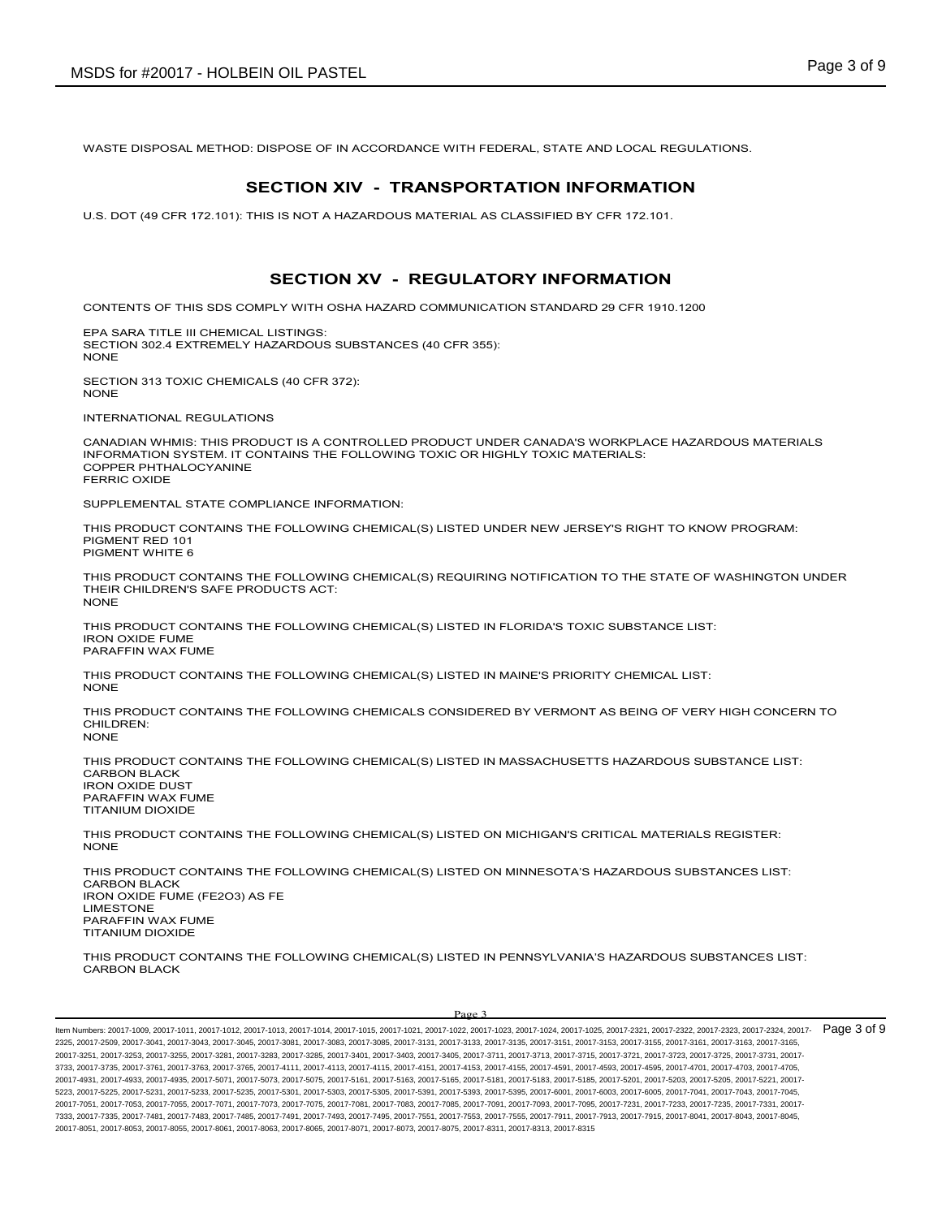WASTE DISPOSAL METHOD: DISPOSE OF IN ACCORDANCE WITH FEDERAL, STATE AND LOCAL REGULATIONS.

#### **SECTION XIV - TRANSPORTATION INFORMATION**

U.S. DOT (49 CFR 172.101): THIS IS NOT A HAZARDOUS MATERIAL AS CLASSIFIED BY CFR 172.101.

## **SECTION XV - REGULATORY INFORMATION**

CONTENTS OF THIS SDS COMPLY WITH OSHA HAZARD COMMUNICATION STANDARD 29 CFR 1910.1200

EPA SARA TITLE III CHEMICAL LISTINGS: SECTION 302.4 EXTREMELY HAZARDOUS SUBSTANCES (40 CFR 355): NONE

SECTION 313 TOXIC CHEMICALS (40 CFR 372): NONE

INTERNATIONAL REGULATIONS

CANADIAN WHMIS: THIS PRODUCT IS A CONTROLLED PRODUCT UNDER CANADA'S WORKPLACE HAZARDOUS MATERIALS INFORMATION SYSTEM. IT CONTAINS THE FOLLOWING TOXIC OR HIGHLY TOXIC MATERIALS: COPPER PHTHALOCYANINE FERRIC OXIDE

SUPPLEMENTAL STATE COMPLIANCE INFORMATION:

THIS PRODUCT CONTAINS THE FOLLOWING CHEMICAL(S) LISTED UNDER NEW JERSEY'S RIGHT TO KNOW PROGRAM: PIGMENT RED 101 PIGMENT WHITE 6

THIS PRODUCT CONTAINS THE FOLLOWING CHEMICAL(S) REQUIRING NOTIFICATION TO THE STATE OF WASHINGTON UNDER THEIR CHILDREN'S SAFE PRODUCTS ACT: NONE

THIS PRODUCT CONTAINS THE FOLLOWING CHEMICAL(S) LISTED IN FLORIDA'S TOXIC SUBSTANCE LIST: IRON OXIDE FUME PARAFFIN WAX FUME

THIS PRODUCT CONTAINS THE FOLLOWING CHEMICAL(S) LISTED IN MAINE'S PRIORITY CHEMICAL LIST: NONE

THIS PRODUCT CONTAINS THE FOLLOWING CHEMICALS CONSIDERED BY VERMONT AS BEING OF VERY HIGH CONCERN TO CHILDREN<sup>.</sup> **NONE** 

THIS PRODUCT CONTAINS THE FOLLOWING CHEMICAL(S) LISTED IN MASSACHUSETTS HAZARDOUS SUBSTANCE LIST: CARBON BLACK IRON OXIDE DUST PARAFFIN WAX FUME TITANIUM DIOXIDE

THIS PRODUCT CONTAINS THE FOLLOWING CHEMICAL(S) LISTED ON MICHIGAN'S CRITICAL MATERIALS REGISTER: NONE

THIS PRODUCT CONTAINS THE FOLLOWING CHEMICAL(S) LISTED ON MINNESOTA'S HAZARDOUS SUBSTANCES LIST: CARBON BLACK IRON OXIDE FUME (FE2O3) AS FE LIMESTONE PARAFFIN WAX FUME TITANIUM DIOXIDE

THIS PRODUCT CONTAINS THE FOLLOWING CHEMICAL(S) LISTED IN PENNSYLVANIA'S HAZARDOUS SUBSTANCES LIST: CARBON BLACK

#### Page 3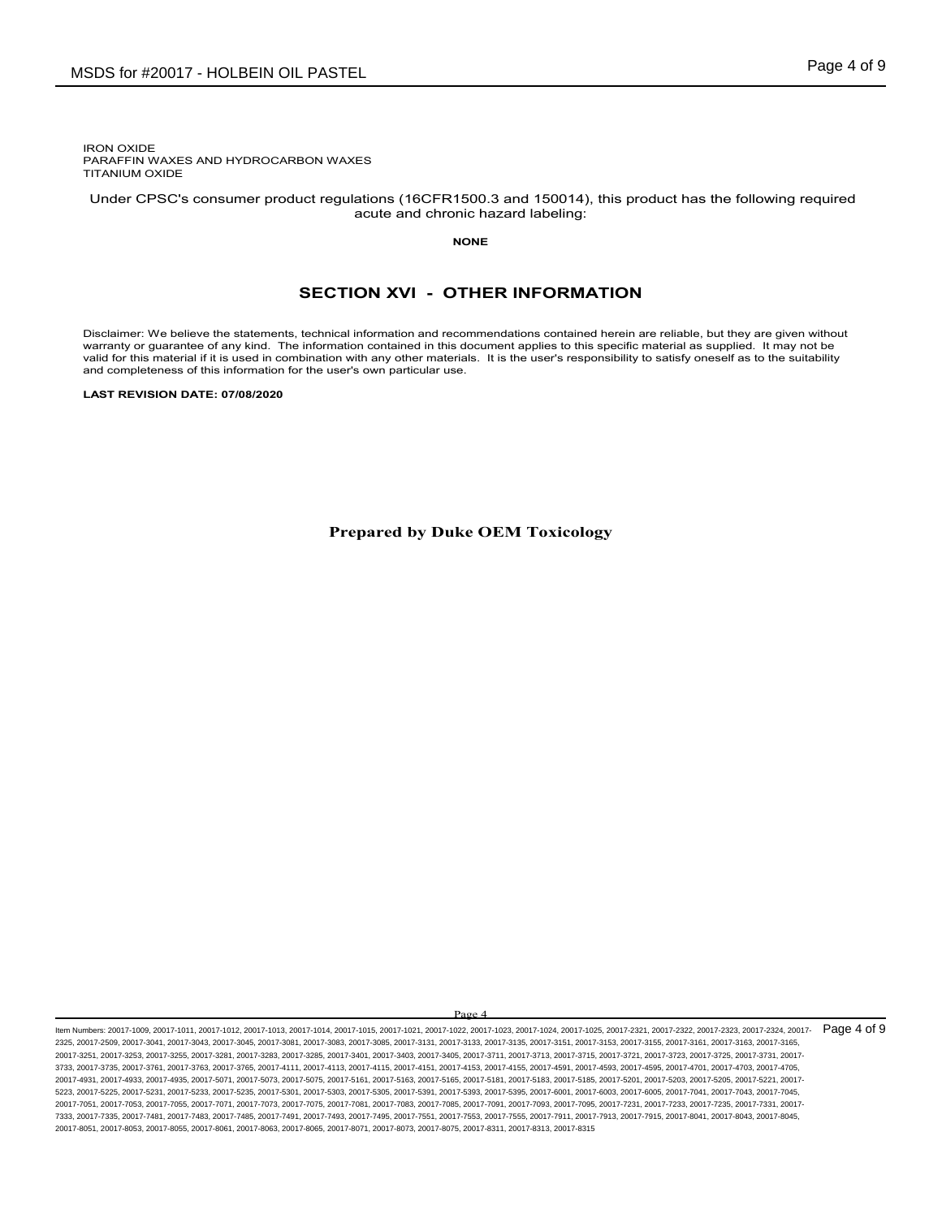IRON OXIDE PARAFFIN WAXES AND HYDROCARBON WAXES TITANIUM OXIDE

 Under CPSC's consumer product regulations (16CFR1500.3 and 150014), this product has the following required acute and chronic hazard labeling:

**NONE**

#### **SECTION XVI - OTHER INFORMATION**

Disclaimer: We believe the statements, technical information and recommendations contained herein are reliable, but they are given without warranty or guarantee of any kind. The information contained in this document applies to this specific material as supplied. It may not be valid for this material if it is used in combination with any other materials. It is the user's responsibility to satisfy oneself as to the suitability and completeness of this information for the user's own particular use.

**LAST REVISION DATE: 07/08/2020**

**Prepared by Duke OEM Toxicology**

 $\mathbf{p}_{\alpha}$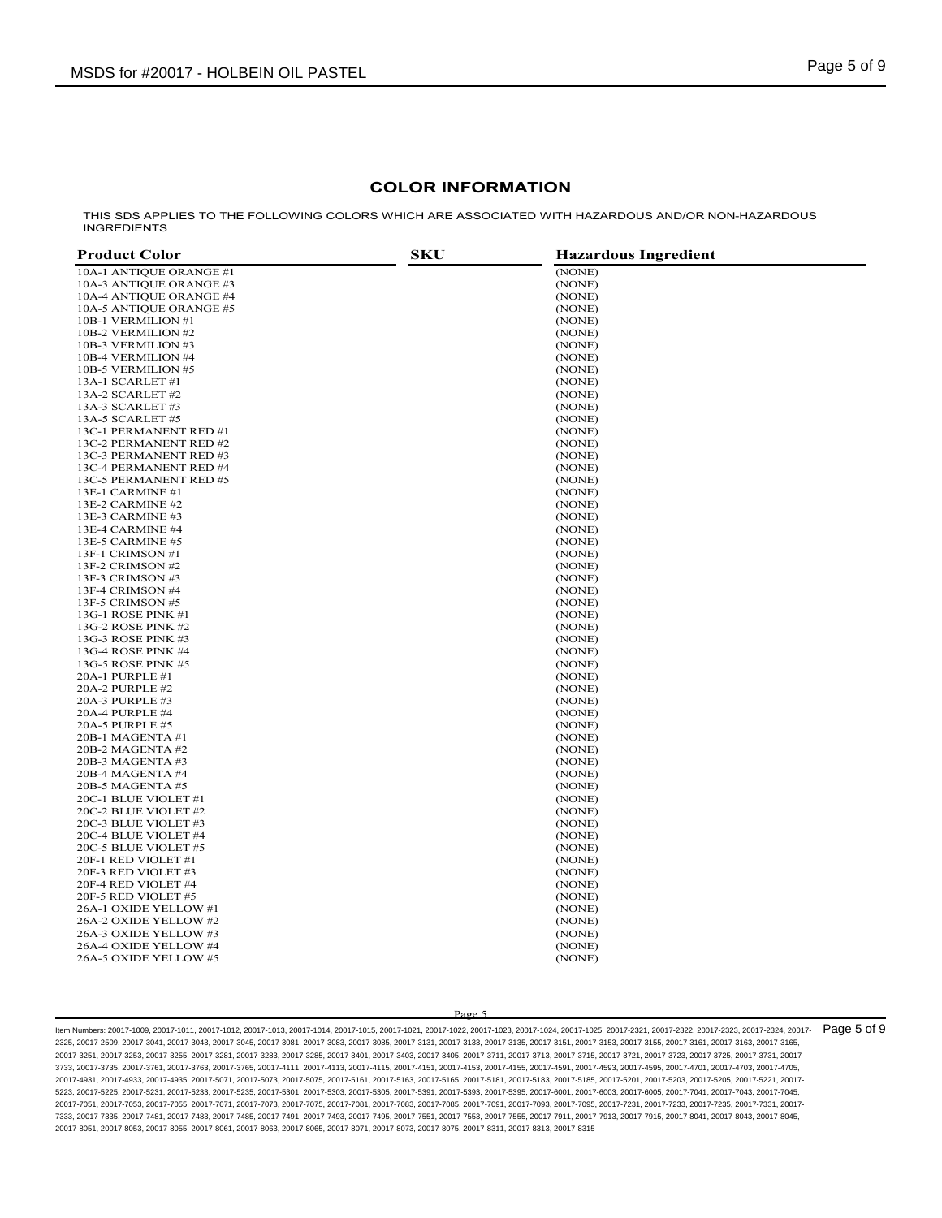#### **COLOR INFORMATION**

THIS SDS APPLIES TO THE FOLLOWING COLORS WHICH ARE ASSOCIATED WITH HAZARDOUS AND/OR NON-HAZARDOUS INGREDIENTS

| <b>Product Color</b>    | <b>SKU</b><br><b>Hazardous Ingredient</b> |
|-------------------------|-------------------------------------------|
| 10A-1 ANTIQUE ORANGE #1 | (NONE)                                    |
| 10A-3 ANTIQUE ORANGE #3 | (NONE)                                    |
| 10A-4 ANTIQUE ORANGE #4 | (NONE)                                    |
| 10A-5 ANTIQUE ORANGE #5 | (NONE)                                    |
| 10B-1 VERMILION #1      | (NONE)                                    |
| 10B-2 VERMILION #2      | (NONE)                                    |
| 10B-3 VERMILION #3      | (NONE)                                    |
| 10B-4 VERMILION #4      | (NONE)                                    |
| 10B-5 VERMILION #5      | (NONE)                                    |
| 13A-1 SCARLET #1        | (NONE)                                    |
| 13A-2 SCARLET #2        | (NONE)                                    |
| 13A-3 SCARLET #3        | (NONE)                                    |
| 13A-5 SCARLET #5        | (NONE)                                    |
| 13C-1 PERMANENT RED #1  | (NONE)                                    |
| 13C-2 PERMANENT RED #2  | (NONE)                                    |
| 13C-3 PERMANENT RED #3  | (NONE)                                    |
| 13C-4 PERMANENT RED #4  | (NONE)                                    |
| 13C-5 PERMANENT RED #5  | (NONE)                                    |
| 13E-1 CARMINE #1        | (NONE)                                    |
| 13E-2 CARMINE #2        | (NONE)                                    |
| 13E-3 CARMINE #3        | (NONE)                                    |
| 13E-4 CARMINE #4        | (NONE)                                    |
| 13E-5 CARMINE #5        | (NONE)                                    |
| 13F-1 CRIMSON #1        | (NONE)                                    |
| 13F-2 CRIMSON #2        | (NONE)                                    |
| 13F-3 CRIMSON #3        | (NONE)                                    |
| 13F-4 CRIMSON #4        | (NONE)                                    |
| 13F-5 CRIMSON #5        | (NONE)                                    |
| 13G-1 ROSE PINK #1      | (NONE)                                    |
| 13G-2 ROSE PINK #2      | (NONE)                                    |
| 13G-3 ROSE PINK #3      | (NONE)                                    |
| 13G-4 ROSE PINK #4      | (NONE)                                    |
| 13G-5 ROSE PINK #5      | (NONE)                                    |
| 20A-1 PURPLE #1         | (NONE)                                    |
| 20A-2 PURPLE #2         | (NONE)                                    |
| 20A-3 PURPLE #3         | (NONE)                                    |
| 20A-4 PURPLE #4         | (NONE)                                    |
| 20A-5 PURPLE #5         | (NONE)                                    |
| 20B-1 MAGENTA #1        | (NONE)                                    |
| 20B-2 MAGENTA #2        | (NONE)                                    |
| 20B-3 MAGENTA #3        | (NONE)                                    |
| 20B-4 MAGENTA #4        | (NONE)                                    |
| 20B-5 MAGENTA #5        | (NONE)                                    |
| 20C-1 BLUE VIOLET #1    | (NONE)                                    |
| 20C-2 BLUE VIOLET #2    | (NONE)                                    |
| 20C-3 BLUE VIOLET #3    | (NONE)                                    |
| 20C-4 BLUE VIOLET #4    | (NONE)                                    |
| 20C-5 BLUE VIOLET #5    | (NONE)                                    |
| 20F-1 RED VIOLET #1     | (NONE)                                    |
| 20F-3 RED VIOLET #3     | (NONE)                                    |
| 20F-4 RED VIOLET #4     | (NONE)                                    |
| 20F-5 RED VIOLET #5     | (NONE)                                    |
| 26A-1 OXIDE YELLOW #1   | (NONE)                                    |
| 26A-2 OXIDE YELLOW #2   | (NONE)                                    |
| 26A-3 OXIDE YELLOW #3   | (NONE)                                    |
| 26A-4 OXIDE YELLOW #4   | (NONE)                                    |
| 26A-5 OXIDE YELLOW #5   | (NONE)                                    |

Page 5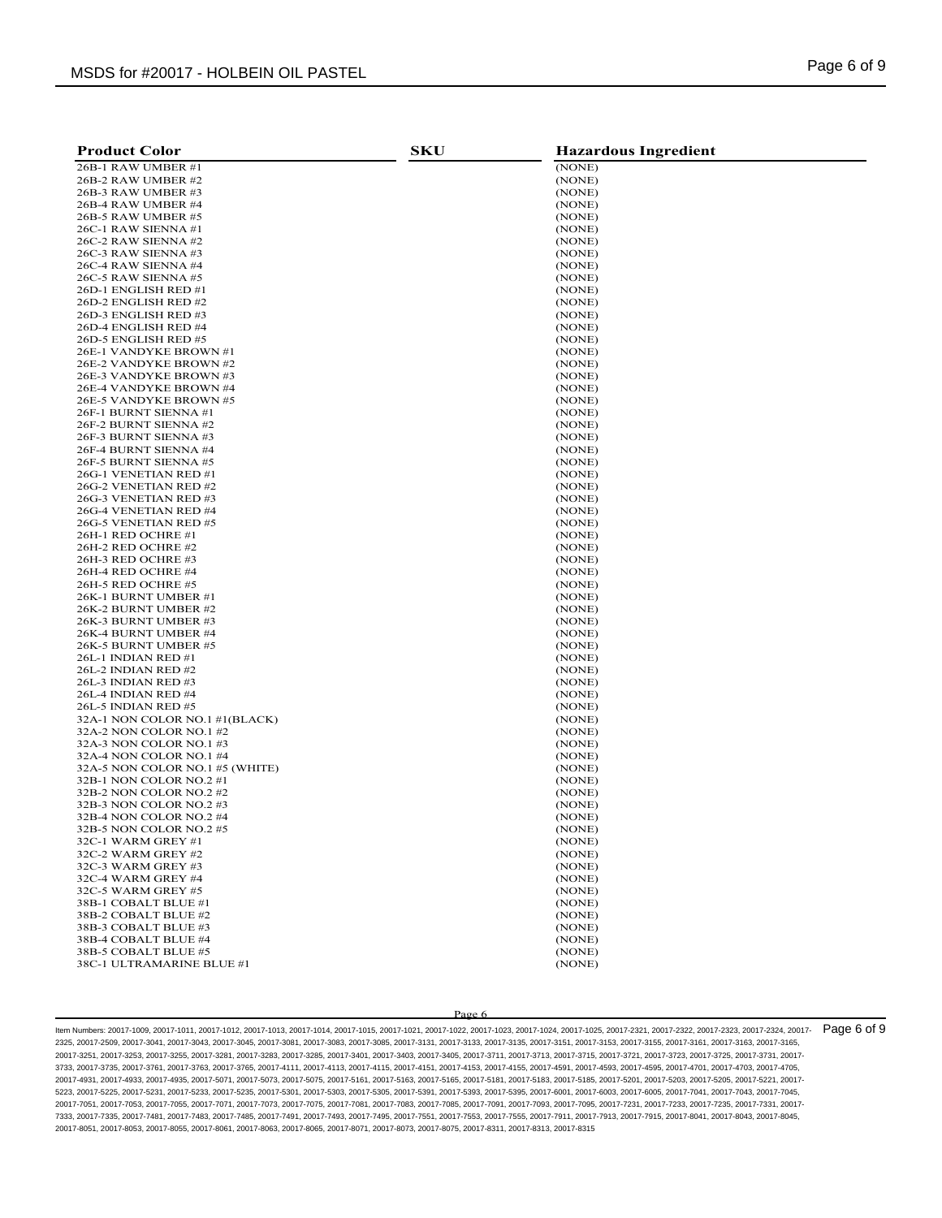| <b>Product Color</b>                               | <b>SKU</b> | <b>Hazardous Ingredient</b> |
|----------------------------------------------------|------------|-----------------------------|
| 26B-1 RAW UMBER #1                                 |            | (NONE)                      |
| 26B-2 RAW UMBER #2                                 |            | (NONE)                      |
| 26B-3 RAW UMBER #3                                 |            | (NONE)                      |
| 26B-4 RAW UMBER #4                                 |            | (NONE)                      |
| 26B-5 RAW UMBER #5                                 |            | (NONE)                      |
| 26C-1 RAW SIENNA #1                                |            | (NONE)                      |
| 26C-2 RAW SIENNA #2                                |            | (NONE)                      |
| 26C-3 RAW SIENNA #3                                |            | (NONE)                      |
| 26C-4 RAW SIENNA #4                                |            | (NONE)                      |
| 26C-5 RAW SIENNA #5                                |            | (NONE)                      |
| 26D-1 ENGLISH RED #1                               |            | (NONE)                      |
| 26D-2 ENGLISH RED #2                               |            | (NONE)                      |
| 26D-3 ENGLISH RED #3                               |            | (NONE)                      |
| 26D-4 ENGLISH RED #4                               |            | (NONE)                      |
| 26D-5 ENGLISH RED #5                               |            | (NONE)                      |
| 26E-1 VANDYKE BROWN #1                             |            | (NONE)                      |
| 26E-2 VANDYKE BROWN #2                             |            | (NONE)                      |
| 26E-3 VANDYKE BROWN #3                             |            | (NONE)                      |
| 26E-4 VANDYKE BROWN #4                             |            | (NONE)                      |
| 26E-5 VANDYKE BROWN #5                             |            | (NONE)                      |
| 26F-1 BURNT SIENNA #1                              |            | (NONE)                      |
| 26F-2 BURNT SIENNA #2                              |            | (NONE)                      |
| 26F-3 BURNT SIENNA #3<br>26F-4 BURNT SIENNA #4     |            | (NONE)<br>(NONE)            |
| 26F-5 BURNT SIENNA #5                              |            | (NONE)                      |
| 26G-1 VENETIAN RED #1                              |            | (NONE)                      |
| 26G-2 VENETIAN RED #2                              |            | (NONE)                      |
| 26G-3 VENETIAN RED #3                              |            | (NONE)                      |
| 26G-4 VENETIAN RED #4                              |            | (NONE)                      |
| 26G-5 VENETIAN RED #5                              |            | (NONE)                      |
| 26H-1 RED OCHRE #1                                 |            | (NONE)                      |
| 26H-2 RED OCHRE #2                                 |            | (NONE)                      |
| 26H-3 RED OCHRE #3                                 |            | (NONE)                      |
| 26H-4 RED OCHRE #4                                 |            | (NONE)                      |
| 26H-5 RED OCHRE #5                                 |            | (NONE)                      |
| 26K-1 BURNT UMBER #1                               |            | (NONE)                      |
| 26K-2 BURNT UMBER #2                               |            | (NONE)                      |
| 26K-3 BURNT UMBER #3                               |            | (NONE)                      |
| 26K-4 BURNT UMBER #4                               |            | (NONE)                      |
| 26K-5 BURNT UMBER #5                               |            | (NONE)                      |
| 26L-1 INDIAN RED #1                                |            | (NONE)                      |
| 26L-2 INDIAN RED #2                                |            | (NONE)                      |
| 26L-3 INDIAN RED #3                                |            | (NONE)                      |
| 26L-4 INDIAN RED #4                                |            | (NONE)                      |
| <b>26L-5 INDIAN RED #5</b>                         |            | (NONE)                      |
| 32A-1 NON COLOR NO.1 #1(BLACK)                     |            | (NONE)                      |
| 32A-2 NON COLOR NO.1 #2                            |            | (NONE)                      |
| 32A-3 NON COLOR NO.1 #3                            |            | (NONE)                      |
| 32A-4 NON COLOR NO.1 #4                            |            | (NONE)                      |
| 32A-5 NON COLOR NO.1 #5 (WHITE)                    |            | (NONE)                      |
| 32B-1 NON COLOR NO.2 #1<br>32B-2 NON COLOR NO.2 #2 |            | (NONE)                      |
| 32B-3 NON COLOR NO.2 #3                            |            | (NONE)<br>(NONE)            |
| 32B-4 NON COLOR NO.2 #4                            |            | (NONE)                      |
| 32B-5 NON COLOR NO.2 #5                            |            | (NONE)                      |
| 32C-1 WARM GREY #1                                 |            | (NONE)                      |
| 32C-2 WARM GREY #2                                 |            | (NONE)                      |
| 32C-3 WARM GREY #3                                 |            | (NONE)                      |
| 32C-4 WARM GREY #4                                 |            | (NONE)                      |
| 32C-5 WARM GREY #5                                 |            | (NONE)                      |
| 38B-1 COBALT BLUE #1                               |            | (NONE)                      |
| 38B-2 COBALT BLUE #2                               |            | (NONE)                      |
| 38B-3 COBALT BLUE #3                               |            | (NONE)                      |
| 38B-4 COBALT BLUE #4                               |            | (NONE)                      |
| 38B-5 COBALT BLUE #5                               |            | (NONE)                      |
| 38C-1 ULTRAMARINE BLUE #1                          |            | (NONE)                      |
|                                                    |            |                             |

#### Page 6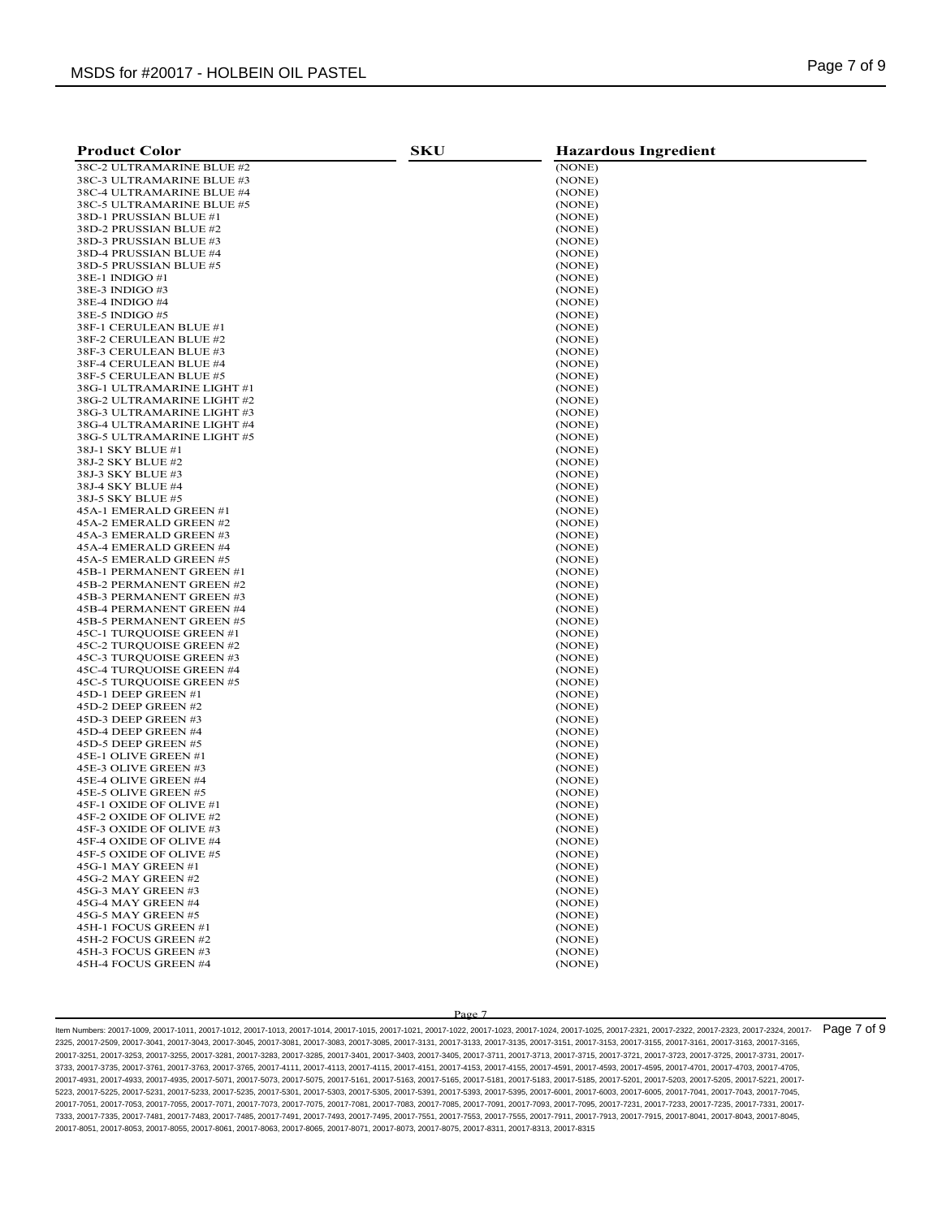| <b>Product Color</b>       | <b>SKU</b> | <b>Hazardous Ingredient</b> |
|----------------------------|------------|-----------------------------|
| 38C-2 ULTRAMARINE BLUE #2  |            | (NONE)                      |
| 38C-3 ULTRAMARINE BLUE #3  |            | (NONE)                      |
| 38C-4 ULTRAMARINE BLUE #4  |            | (NONE)                      |
| 38C-5 ULTRAMARINE BLUE #5  |            | (NONE)                      |
| 38D-1 PRUSSIAN BLUE #1     |            | (NONE)                      |
| 38D-2 PRUSSIAN BLUE #2     |            | (NONE)                      |
| 38D-3 PRUSSIAN BLUE #3     |            | (NONE)                      |
| 38D-4 PRUSSIAN BLUE #4     |            | (NONE)                      |
| 38D-5 PRUSSIAN BLUE #5     |            | (NONE)                      |
| 38E-1 INDIGO #1            |            | (NONE)                      |
| 38E-3 INDIGO #3            |            | (NONE)                      |
| 38E-4 INDIGO #4            |            | (NONE)                      |
| 38E-5 INDIGO #5            |            | (NONE)                      |
| 38F-1 CERULEAN BLUE #1     |            | (NONE)                      |
| 38F-2 CERULEAN BLUE #2     |            | (NONE)                      |
| 38F-3 CERULEAN BLUE #3     |            | (NONE)                      |
| 38F-4 CERULEAN BLUE #4     |            | (NONE)                      |
| 38F-5 CERULEAN BLUE #5     |            | (NONE)                      |
| 38G-1 ULTRAMARINE LIGHT #1 |            | (NONE)                      |
| 38G-2 ULTRAMARINE LIGHT #2 |            | (NONE)                      |
| 38G-3 ULTRAMARINE LIGHT #3 |            | (NONE)                      |
| 38G-4 ULTRAMARINE LIGHT #4 |            | (NONE)                      |
| 38G-5 ULTRAMARINE LIGHT #5 |            | (NONE)                      |
| 38J-1 SKY BLUE #1          |            | (NONE)                      |
| 38J-2 SKY BLUE #2          |            | (NONE)                      |
| 38J-3 SKY BLUE #3          |            | (NONE)                      |
| 38J-4 SKY BLUE #4          |            | (NONE)                      |
| 38J-5 SKY BLUE #5          |            | (NONE)                      |
| 45A-1 EMERALD GREEN #1     |            | (NONE)                      |
| 45A-2 EMERALD GREEN #2     |            | (NONE)                      |
| 45A-3 EMERALD GREEN #3     |            | (NONE)                      |
| 45A-4 EMERALD GREEN #4     |            | (NONE)                      |
| 45A-5 EMERALD GREEN #5     |            | (NONE)                      |
| 45B-1 PERMANENT GREEN #1   |            | (NONE)                      |
| 45B-2 PERMANENT GREEN #2   |            | (NONE)                      |
| 45B-3 PERMANENT GREEN #3   |            | (NONE)                      |
| 45B-4 PERMANENT GREEN #4   |            | (NONE)                      |
| 45B-5 PERMANENT GREEN #5   |            | (NONE)                      |
| 45C-1 TURQUOISE GREEN #1   |            | (NONE)                      |
| 45C-2 TURQUOISE GREEN #2   |            | (NONE)                      |
| 45C-3 TURQUOISE GREEN #3   |            | (NONE)                      |
| 45C-4 TURQUOISE GREEN #4   |            | (NONE)                      |
| 45C-5 TURQUOISE GREEN #5   |            | (NONE)                      |
| 45D-1 DEEP GREEN #1        |            | (NONE)                      |
| 45D-2 DEEP GREEN #2        |            | (NONE)                      |
| 45D-3 DEEP GREEN #3        |            | (NONE)                      |
| 45D-4 DEEP GREEN #4        |            | (NONE)                      |
| 45D-5 DEEP GREEN #5        |            | (NONE)                      |
| 45E-1 OLIVE GREEN #1       |            | (NONE)                      |
| 45E-3 OLIVE GREEN #3       |            | (NONE)                      |
| 45E-4 OLIVE GREEN #4       |            | (NONE)                      |
| 45E-5 OLIVE GREEN #5       |            | (NONE)                      |
| 45F-1 OXIDE OF OLIVE #1    |            | (NONE)                      |
| 45F-2 OXIDE OF OLIVE #2    |            | (NONE)                      |
| 45F-3 OXIDE OF OLIVE #3    |            | (NONE)                      |
| 45F-4 OXIDE OF OLIVE #4    |            | (NONE)                      |
| 45F-5 OXIDE OF OLIVE #5    |            | (NONE)                      |
| 45G-1 MAY GREEN #1         |            | (NONE)                      |
| 45G-2 MAY GREEN #2         |            | (NONE)                      |
| 45G-3 MAY GREEN #3         |            | (NONE)                      |
| 45G-4 MAY GREEN #4         |            | (NONE)                      |
| 45G-5 MAY GREEN #5         |            | (NONE)                      |
| 45H-1 FOCUS GREEN #1       |            | (NONE)                      |
| 45H-2 FOCUS GREEN #2       |            | (NONE)                      |
| 45H-3 FOCUS GREEN #3       |            | (NONE)                      |
| 45H-4 FOCUS GREEN #4       |            | (NONE)                      |

Page 7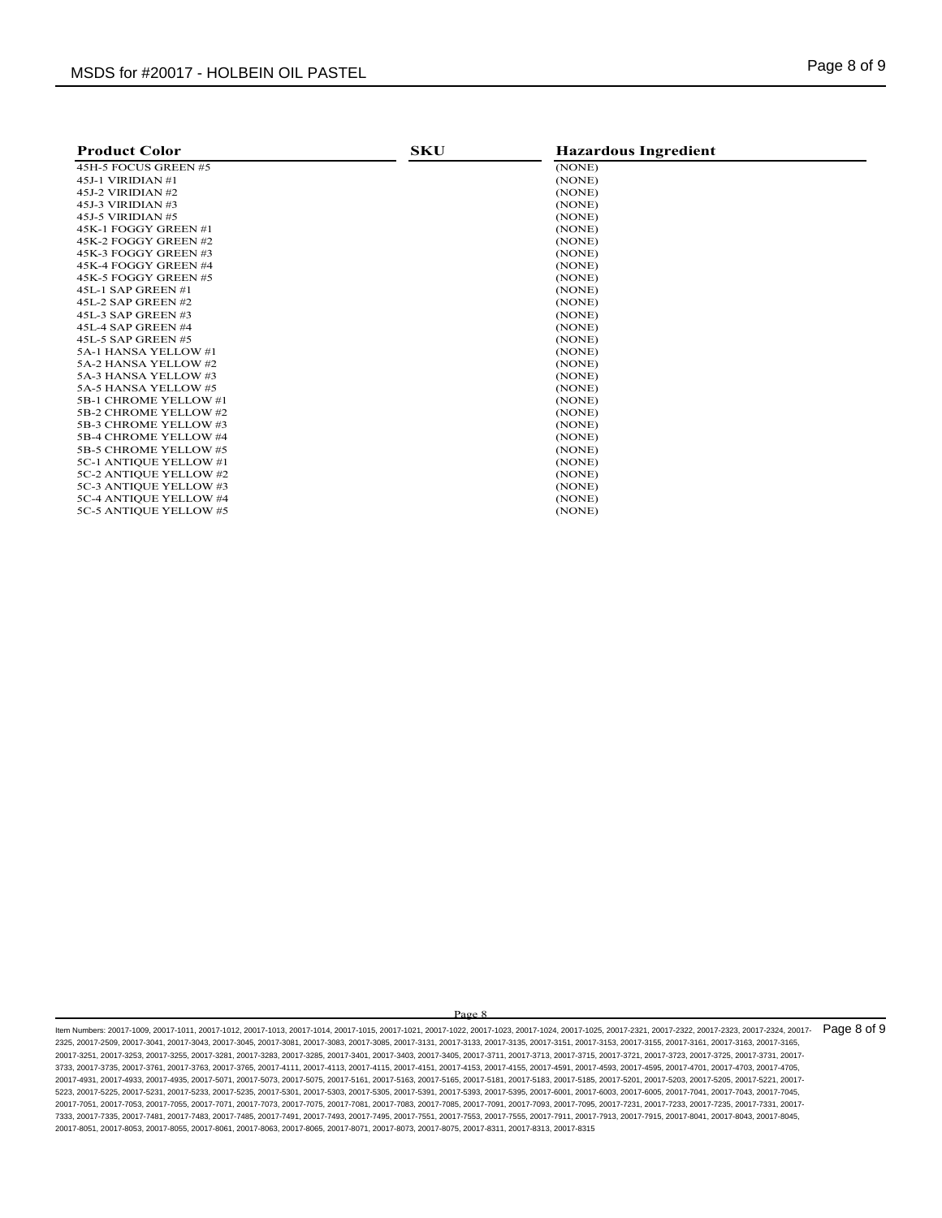| <b>Product Color</b>   | <b>SKU</b> | <b>Hazardous Ingredient</b> |
|------------------------|------------|-----------------------------|
| 45H-5 FOCUS GREEN #5   |            | (NONE)                      |
| 45J-1 VIRIDIAN #1      |            | (NONE)                      |
| 45J-2 VIRIDIAN #2      |            | (NONE)                      |
| 45J-3 VIRIDIAN #3      |            | (NONE)                      |
| 45J-5 VIRIDIAN #5      |            | (NONE)                      |
| 45K-1 FOGGY GREEN #1   |            | (NONE)                      |
| 45K-2 FOGGY GREEN #2   |            | (NONE)                      |
| 45K-3 FOGGY GREEN #3   |            | (NONE)                      |
| 45K-4 FOGGY GREEN #4   |            | (NONE)                      |
| 45K-5 FOGGY GREEN #5   |            | (NONE)                      |
| 45L-1 SAP GREEN #1     |            | (NONE)                      |
| 45L-2 SAP GREEN #2     |            | (NONE)                      |
| 45L-3 SAP GREEN #3     |            | (NONE)                      |
| 45L-4 SAP GREEN #4     |            | (NONE)                      |
| 45L-5 SAP GREEN #5     |            | (NONE)                      |
| 5A-1 HANSA YELLOW #1   |            | (NONE)                      |
| 5A-2 HANSA YELLOW #2   |            | (NONE)                      |
| 5A-3 HANSA YELLOW #3   |            | (NONE)                      |
| 5A-5 HANSA YELLOW #5   |            | (NONE)                      |
| 5B-1 CHROME YELLOW #1  |            | (NONE)                      |
| 5B-2 CHROME YELLOW #2  |            | (NONE)                      |
| 5B-3 CHROME YELLOW #3  |            | (NONE)                      |
| 5B-4 CHROME YELLOW #4  |            | (NONE)                      |
| 5B-5 CHROME YELLOW #5  |            | (NONE)                      |
| 5C-1 ANTIQUE YELLOW #1 |            | (NONE)                      |
| 5C-2 ANTIQUE YELLOW #2 |            | (NONE)                      |
| 5C-3 ANTIQUE YELLOW #3 |            | (NONE)                      |
| 5C-4 ANTIQUE YELLOW #4 |            | (NONE)                      |
| 5C-5 ANTIQUE YELLOW #5 |            | (NONE)                      |

Page 8